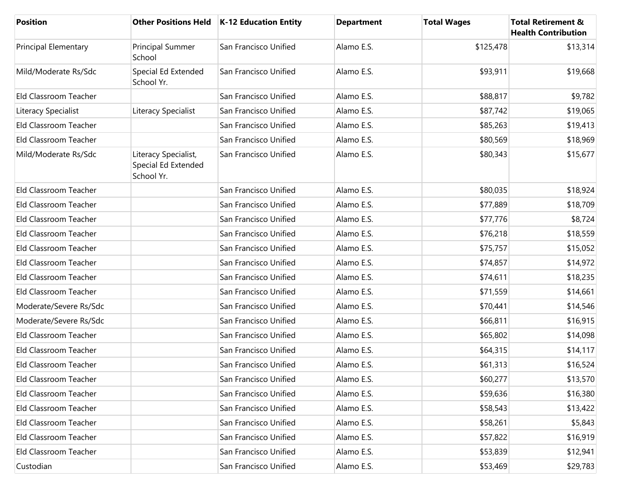| <b>Position</b>             |                                                           | Other Positions Held   K-12 Education Entity | <b>Department</b> | <b>Total Wages</b> | <b>Total Retirement &amp;</b><br><b>Health Contribution</b> |
|-----------------------------|-----------------------------------------------------------|----------------------------------------------|-------------------|--------------------|-------------------------------------------------------------|
| <b>Principal Elementary</b> | Principal Summer<br>School                                | San Francisco Unified                        | Alamo E.S.        | \$125,478          | \$13,314                                                    |
| Mild/Moderate Rs/Sdc        | Special Ed Extended<br>School Yr.                         | San Francisco Unified                        | Alamo E.S.        | \$93,911           | \$19,668                                                    |
| Eld Classroom Teacher       |                                                           | San Francisco Unified                        | Alamo E.S.        | \$88,817           | \$9,782                                                     |
| Literacy Specialist         | Literacy Specialist                                       | San Francisco Unified                        | Alamo E.S.        | \$87,742           | \$19,065                                                    |
| Eld Classroom Teacher       |                                                           | San Francisco Unified                        | Alamo E.S.        | \$85,263           | \$19,413                                                    |
| Eld Classroom Teacher       |                                                           | San Francisco Unified                        | Alamo E.S.        | \$80,569           | \$18,969                                                    |
| Mild/Moderate Rs/Sdc        | Literacy Specialist,<br>Special Ed Extended<br>School Yr. | San Francisco Unified                        | Alamo E.S.        | \$80,343           | \$15,677                                                    |
| Eld Classroom Teacher       |                                                           | San Francisco Unified                        | Alamo E.S.        | \$80,035           | \$18,924                                                    |
| Eld Classroom Teacher       |                                                           | San Francisco Unified                        | Alamo E.S.        | \$77,889           | \$18,709                                                    |
| Eld Classroom Teacher       |                                                           | San Francisco Unified                        | Alamo E.S.        | \$77,776           | \$8,724                                                     |
| Eld Classroom Teacher       |                                                           | San Francisco Unified                        | Alamo E.S.        | \$76,218           | \$18,559                                                    |
| Eld Classroom Teacher       |                                                           | San Francisco Unified                        | Alamo E.S.        | \$75,757           | \$15,052                                                    |
| Eld Classroom Teacher       |                                                           | San Francisco Unified                        | Alamo E.S.        | \$74,857           | \$14,972                                                    |
| Eld Classroom Teacher       |                                                           | San Francisco Unified                        | Alamo E.S.        | \$74,611           | \$18,235                                                    |
| Eld Classroom Teacher       |                                                           | San Francisco Unified                        | Alamo E.S.        | \$71,559           | \$14,661                                                    |
| Moderate/Severe Rs/Sdc      |                                                           | San Francisco Unified                        | Alamo E.S.        | \$70,441           | \$14,546                                                    |
| Moderate/Severe Rs/Sdc      |                                                           | San Francisco Unified                        | Alamo E.S.        | \$66,811           | \$16,915                                                    |
| Eld Classroom Teacher       |                                                           | San Francisco Unified                        | Alamo E.S.        | \$65,802           | \$14,098                                                    |
| Eld Classroom Teacher       |                                                           | San Francisco Unified                        | Alamo E.S.        | \$64,315           | \$14,117                                                    |
| Eld Classroom Teacher       |                                                           | San Francisco Unified                        | Alamo E.S.        | \$61,313           | \$16,524                                                    |
| Eld Classroom Teacher       |                                                           | San Francisco Unified                        | Alamo E.S.        | \$60,277           | \$13,570                                                    |
| Eld Classroom Teacher       |                                                           | San Francisco Unified                        | Alamo E.S.        | \$59,636           | \$16,380                                                    |
| Eld Classroom Teacher       |                                                           | San Francisco Unified                        | Alamo E.S.        | \$58,543           | \$13,422                                                    |
| Eld Classroom Teacher       |                                                           | San Francisco Unified                        | Alamo E.S.        | \$58,261           | \$5,843                                                     |
| Eld Classroom Teacher       |                                                           | San Francisco Unified                        | Alamo E.S.        | \$57,822           | \$16,919                                                    |
| Eld Classroom Teacher       |                                                           | San Francisco Unified                        | Alamo E.S.        | \$53,839           | \$12,941                                                    |
| Custodian                   |                                                           | San Francisco Unified                        | Alamo E.S.        | \$53,469           | \$29,783                                                    |